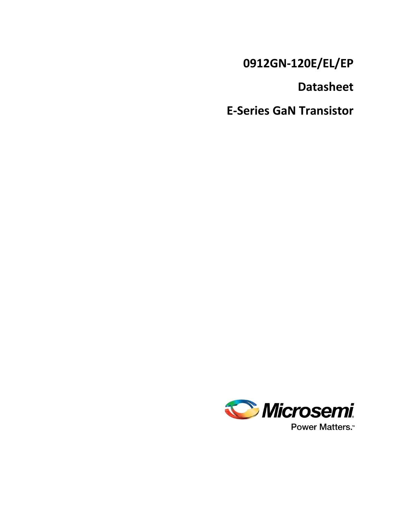**0912GN-120E/EL/EP**

**Datasheet**

**E-Series GaN Transistor**

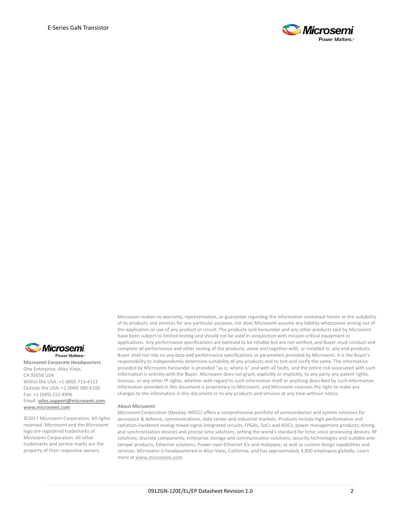



**Microsemi Corporate Headquarters** One Enterprise, Aliso Viejo, CA 92656 USA Within the USA: +1 (800) 713-4113 Outside the USA: +1 (949) 380-6100 Fax: +1 (949) 215-4996 Email: **[sales.support@microsemi.com](mailto:sales.support@microsemi.com) [www.microsemi.com](http://www.microsemi.com/)**

©2017 Microsemi Corporation. All rights reserved. Microsemi and the Microsemi logo are registered trademarks of Microsemi Corporation. All other trademarks and service marks are the property of their respective owners.

Microsemi makes no warranty, representation, or guarantee regarding the information contained herein or the suitability of its products and services for any particular purpose, nor does Microsemi assume any liability whatsoever arising out of the application or use of any product or circuit. The products sold hereunder and any other products sold by Microsemi have been subject to limited testing and should not be used in conjunction with mission-critical equipment or applications. Any performance specifications are believed to be reliable but are not verified, and Buyer must conduct and complete all performance and other testing of the products, alone and together with, or installed in, any end-products. Buyer shall not rely on any data and performance specifications or parameters provided by Microsemi. It is the Buyer's responsibility to independently determine suitability of any products and to test and verify the same. The information provided by Microsemi hereunder is provided "as is, where is" and with all faults, and the entire risk associated with such information is entirely with the Buyer. Microsemi does not grant, explicitly or implicitly, to any party any patent rights, licenses, or any other IP rights, whether with regard to such information itself or anything described by such information. Information provided in this document is proprietary to Microsemi, and Microsemi reserves the right to make any changes to the information in this document or to any products and services at any time without notice.

#### **About Microsemi**

Microsemi Corporation (Nasdaq: MSCC) offers a comprehensive portfolio of semiconductor and system solutions for aerospace & defense, communications, data center and industrial markets. Products include high-performance and radiation-hardened analog mixed-signal integrated circuits, FPGAs, SoCs and ASICs; power management products; timing and synchronization devices and precise time solutions, setting the world's standard for time; voice processing devices; RF solutions; discrete components; enterprise storage and communication solutions; security technologies and scalable antitamper products; Ethernet solutions; Power-over-Ethernet ICs and midspans; as well as custom design capabilities and services. Microsemi is headquartered in Aliso Viejo, California, and has approximately 4,800 employees globally. Learn more at **[www.microsemi.com.](http://www.microsemi.com/)**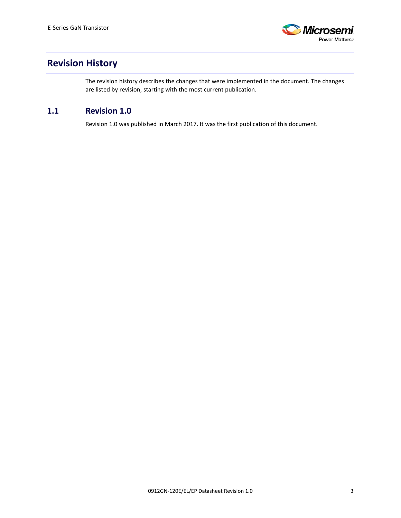

# <span id="page-2-0"></span>**Revision History**

The revision history describes the changes that were implemented in the document. The changes are listed by revision, starting with the most current publication.

## <span id="page-2-1"></span>**1.1 Revision 1.0**

Revision 1.0 was published in March 2017. It was the first publication of this document.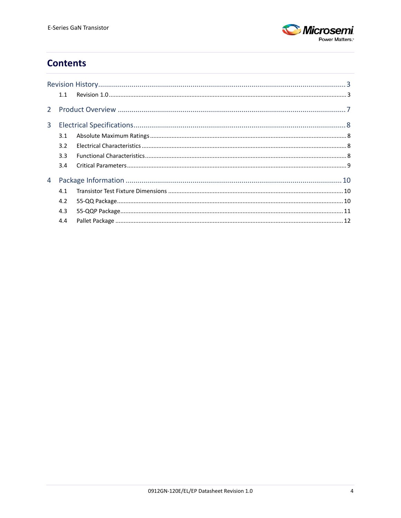

# **Contents**

|   | 1.1 |  |
|---|-----|--|
|   |     |  |
| 3 |     |  |
|   | 3.1 |  |
|   | 3.2 |  |
|   | 3.3 |  |
|   | 3.4 |  |
| 4 |     |  |
|   | 4.1 |  |
|   | 4.2 |  |
|   | 4.3 |  |
|   | 4.4 |  |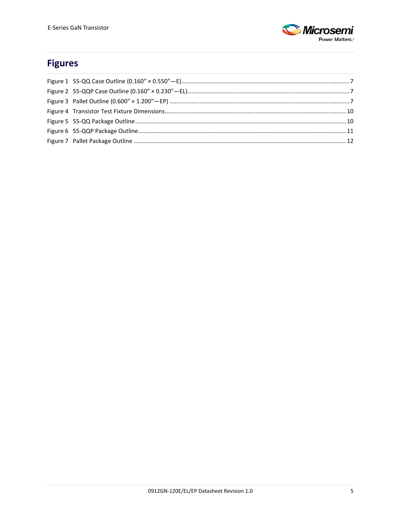

# **Figures**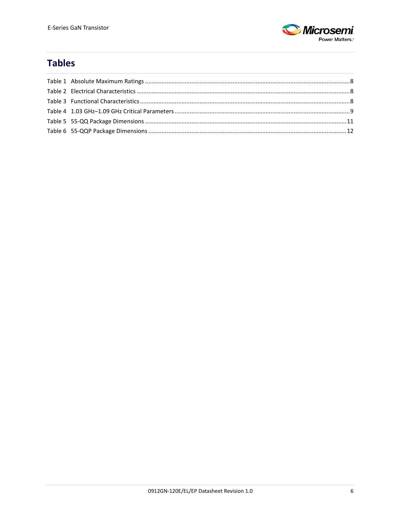

# **Tables**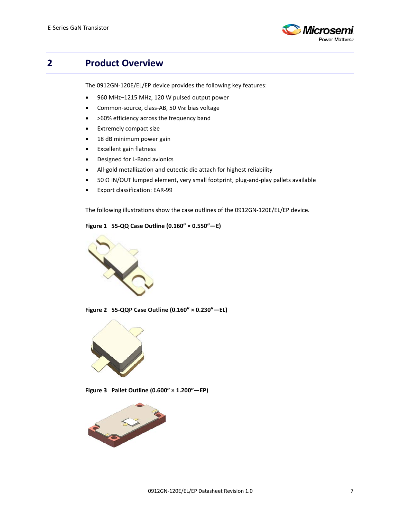

# <span id="page-6-0"></span>**2 Product Overview**

The 0912GN-120E/EL/EP device provides the following key features:

- 960 MHz–1215 MHz, 120 W pulsed output power
- Common-source, class-AB, 50 V<sub>DD</sub> bias voltage
- >60% efficiency across the frequency band
- Extremely compact size
- 18 dB minimum power gain
- Excellent gain flatness
- Designed for L-Band avionics
- All-gold metallization and eutectic die attach for highest reliability
- 50 Ω IN/OUT lumped element, very small footprint, plug-and-play pallets available
- Export classification: EAR-99

The following illustrations show the case outlines of the 0912GN-120E/EL/EP device.

### <span id="page-6-1"></span>**Figure 1 55-QQ Case Outline (0.160″ × 0.550″—E)**



**Figure 2 55-QQP Case Outline (0.160″ × 0.230″—EL)**

<span id="page-6-2"></span>

**Figure 3 Pallet Outline (0.600″ × 1.200″—EP)**

<span id="page-6-3"></span>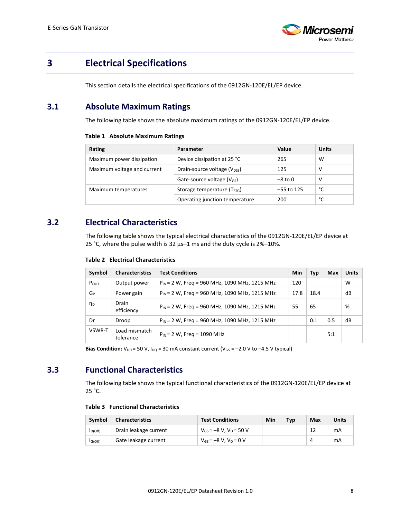

# <span id="page-7-0"></span>**3 Electrical Specifications**

This section details the electrical specifications of the 0912GN-120E/EL/EP device.

## <span id="page-7-4"></span><span id="page-7-1"></span>**3.1 Absolute Maximum Ratings**

The following table shows the absolute maximum ratings of the 0912GN-120E/EL/EP device.

#### **Table 1 Absolute Maximum Ratings**

| Rating                      | Parameter                               | Value        | <b>Units</b> |
|-----------------------------|-----------------------------------------|--------------|--------------|
| Maximum power dissipation   | Device dissipation at 25 °C             | 265          | w            |
| Maximum voltage and current | Drain-source voltage $(V_{DSS})$        | 125          | v            |
|                             | Gate-source voltage $(V_{GS})$          | $-8$ to 0    | v            |
| Maximum temperatures        | Storage temperature (T <sub>STG</sub> ) | $-55$ to 125 | °C           |
|                             | Operating junction temperature          | 200          | °C           |

### <span id="page-7-5"></span><span id="page-7-2"></span>**3.2 Electrical Characteristics**

The following table shows the typical electrical characteristics of the 0912GN-120E/EL/EP device at 25 °C, where the pulse width is 32 μs–1 ms and the duty cycle is 2%–10%.

**Table 2 Electrical Characteristics**

| Symbol           | <b>Characteristics</b>     | <b>Test Conditions</b>                             |      | <b>Typ</b> | <b>Max</b> | <b>Units</b> |
|------------------|----------------------------|----------------------------------------------------|------|------------|------------|--------------|
| $P_{\text{OUT}}$ | Output power               | $P_{IN}$ = 2 W, Freg = 960 MHz, 1090 MHz, 1215 MHz | 120  |            |            | W            |
| GP               | Power gain                 | $P_{IN}$ = 2 W, Freq = 960 MHz, 1090 MHz, 1215 MHz | 17.8 | 18.4       |            | dB           |
| ηD               | Drain<br>efficiency        | $P_{IN}$ = 2 W, Freg = 960 MHz, 1090 MHz, 1215 MHz | 55   | 65         |            | %            |
| Dr               | Droop                      | $P_{IN}$ = 2 W, Freg = 960 MHz, 1090 MHz, 1215 MHz |      | 0.1        | 0.5        | dB           |
| VSWR-T           | Load mismatch<br>tolerance | $P_{IN}$ = 2 W, Freq = 1090 MHz                    |      |            | 5:1        |              |

**Bias Condition:**  $V_{DD}$  = 50 V,  $I_{DQ}$  = 30 mA constant current ( $V_{GS}$  = -2.0 V to -4.5 V typical)

## <span id="page-7-6"></span><span id="page-7-3"></span>**3.3 Functional Characteristics**

The following table shows the typical functional characteristics of the 0912GN-120E/EL/EP device at 25 °C.

### **Table 3 Functional Characteristics**

| Symbol               | <b>Characteristics</b> | <b>Test Conditions</b>         | Min | Typ | Max | Units |
|----------------------|------------------------|--------------------------------|-----|-----|-----|-------|
| I <sub>D(Off)</sub>  | Drain leakage current  | $V_{GS} = -8 V$ , $V_D = 50 V$ |     |     | 12  | mA    |
| I <sub>G</sub> (Off) | Gate leakage current   | $V_{GS} = -8 V$ , $V_D = 0 V$  |     |     |     | mA    |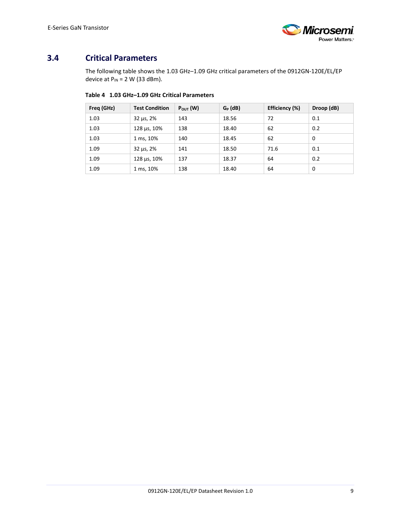

# <span id="page-8-1"></span><span id="page-8-0"></span>**3.4 Critical Parameters**

The following table shows the 1.03 GHz–1.09 GHz critical parameters of the 0912GN-120E/EL/EP device at  $P_{IN} = 2 W (33 dBm)$ .

### **Table 4 1.03 GHz–1.09 GHz Critical Parameters**

| Freq (GHz) | <b>Test Condition</b>  | $P_{\text{OUT}}(W)$ | $G_P$ (dB) | Efficiency (%) | Droop (dB) |
|------------|------------------------|---------------------|------------|----------------|------------|
| 1.03       | $32 \mu s$ , $2\%$     | 143                 | 18.56      | 72             | 0.1        |
| 1.03       | $128 \,\mu s$ , $10\%$ | 138                 | 18.40      | 62             | 0.2        |
| 1.03       | 1 ms, 10%              | 140                 | 18.45      | 62             | 0          |
| 1.09       | $32 \mu s$ , $2\%$     | 141                 | 18.50      | 71.6           | 0.1        |
| 1.09       | $128 \,\mu s$ , $10\%$ | 137                 | 18.37      | 64             | 0.2        |
| 1.09       | 1 ms, 10%              | 138                 | 18.40      | 64             | $\Omega$   |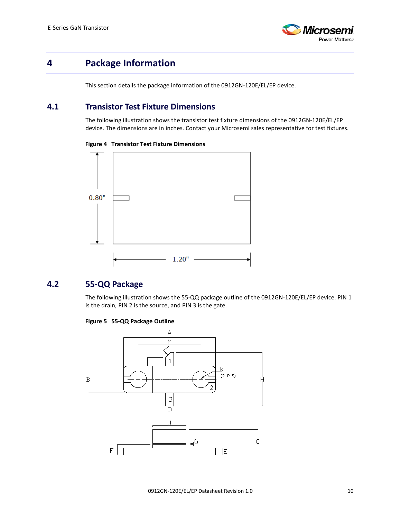

# <span id="page-9-0"></span>**4 Package Information**

This section details the package information of the 0912GN-120E/EL/EP device.

### <span id="page-9-3"></span><span id="page-9-1"></span>**4.1 Transistor Test Fixture Dimensions**

The following illustration shows the transistor test fixture dimensions of the 0912GN-120E/EL/EP device. The dimensions are in inches. Contact your Microsemi sales representative for test fixtures.





## <span id="page-9-4"></span><span id="page-9-2"></span>**4.2 55-QQ Package**

The following illustration shows the 55-QQ package outline of the 0912GN-120E/EL/EP device. PIN 1 is the drain, PIN 2 is the source, and PIN 3 is the gate.

### **Figure 5 55-QQ Package Outline**

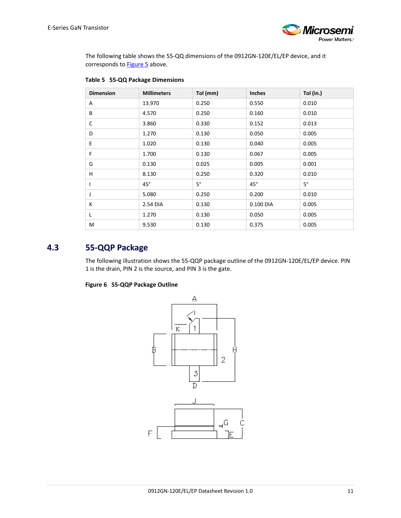

The following table shows the 55-QQ dimensions of the 0912GN-120E/EL/EP device, and it corresponds to **Figure 5** above.

| <b>Dimension</b> | <b>Millimeters</b> | Tol (mm)    | <b>Inches</b> | Tol (in.) |
|------------------|--------------------|-------------|---------------|-----------|
| A                | 13.970             | 0.250       | 0.550         | 0.010     |
| B                | 4.570              | 0.250       | 0.160         | 0.010     |
| C                | 3.860              | 0.330       | 0.152         | 0.013     |
| D                | 1.270              | 0.130       | 0.050         | 0.005     |
| E                | 1.020              | 0.130       | 0.040         | 0.005     |
| F                | 1.700              | 0.130       | 0.067         | 0.005     |
| G                | 0.130              | 0.025       | 0.005         | 0.001     |
| H                | 8.130              | 0.250       | 0.320         | 0.010     |
|                  | $45^\circ$         | $5^{\circ}$ | $45^\circ$    | $5^\circ$ |
| J                | 5.080              | 0.250       | 0.200         | 0.010     |
| К                | 2.54 DIA           | 0.130       | 0.100 DIA     | 0.005     |
| L                | 1.270              | 0.130       | 0.050         | 0.005     |
| M                | 9.530              | 0.130       | 0.375         | 0.005     |

### <span id="page-10-2"></span>**Table 5 55-QQ Package Dimensions**

### <span id="page-10-1"></span><span id="page-10-0"></span>**4.3 55-QQP Package**

The following illustration shows the 55-QQP package outline of the 0912GN-120E/EL/EP device. PIN 1 is the drain, PIN 2 is the source, and PIN 3 is the gate.

### **Figure 6 55-QQP Package Outline**